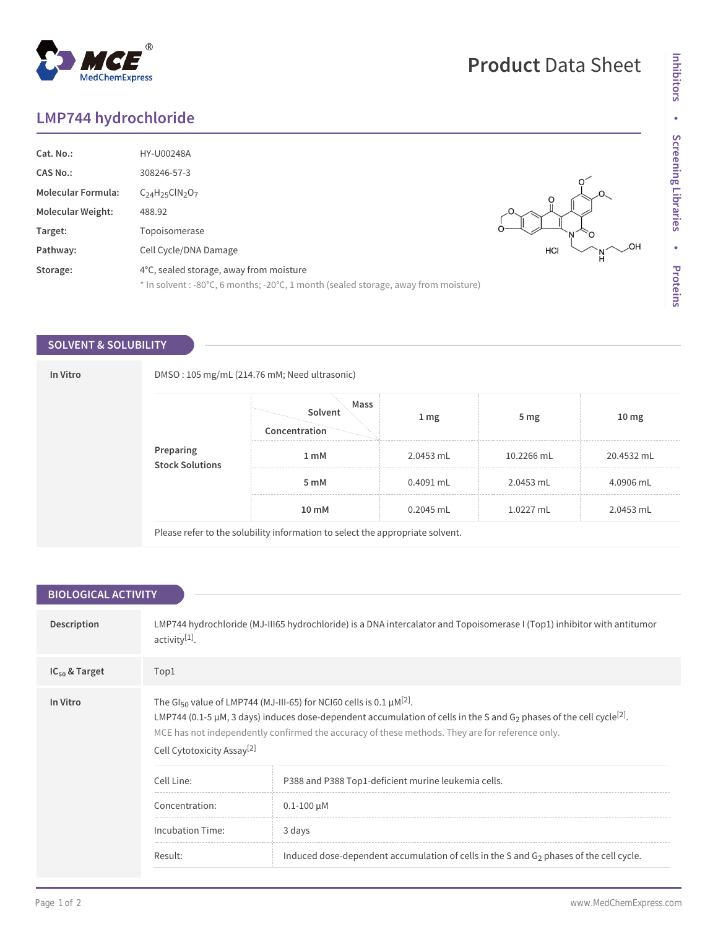## **LMP744 hydrochloride**

MedChemExpress

 $^{\circledR}$ 

| Cat. No.:<br><b>CAS No.:</b><br><b>Molecular Formula:</b><br><b>Molecular Weight:</b><br>Target: | HY-U00248A<br>308246-57-3<br>$C24H25ClN2O7$<br>488.92<br>Topoisomerase                                                         | HCI |
|--------------------------------------------------------------------------------------------------|--------------------------------------------------------------------------------------------------------------------------------|-----|
| Pathway:                                                                                         | Cell Cycle/DNA Damage                                                                                                          |     |
| Storage:                                                                                         | 4°C, sealed storage, away from moisture<br>* In solvent : -80°C, 6 months; -20°C, 1 month (sealed storage, away from moisture) |     |

## **SOLVENT & SOLUBILITY**

| In Vitro |                              | DMSO: 105 mg/mL (214.76 mM; Need ultrasonic)                                  |                  |                        |                  |  |
|----------|------------------------------|-------------------------------------------------------------------------------|------------------|------------------------|------------------|--|
|          |                              | Mass<br>Solvent<br>Concentration                                              | $1 \, \text{mg}$ | 5 <sub>mg</sub>        | 10 <sub>mg</sub> |  |
|          | Preparing<br>Stock Solutions | 1 mM                                                                          | 2.0453 mL        | 10.2266 mL             | 20.4532 mL       |  |
|          |                              | 5 mM                                                                          | $0.4091$ mL      | 4.0906 mL<br>2.0453 mL |                  |  |
|          |                              | 10 mM                                                                         | $0.2045$ mL      | 1.0227 mL              | 2.0453 mL        |  |
|          |                              | Please refer to the solubility information to select the appropriate solvent. |                  |                        |                  |  |

| <b>BIOLOGICAL ACTIVITY</b> |                                                                                                                                                                                                                                                                                                                                                                                               |                                                                                           |  |  |  |
|----------------------------|-----------------------------------------------------------------------------------------------------------------------------------------------------------------------------------------------------------------------------------------------------------------------------------------------------------------------------------------------------------------------------------------------|-------------------------------------------------------------------------------------------|--|--|--|
| Description                | LMP744 hydrochloride (MJ-III65 hydrochloride) is a DNA intercalator and Topoisomerase I (Top1) inhibitor with antitumor<br>activity <sup>[1]</sup> .                                                                                                                                                                                                                                          |                                                                                           |  |  |  |
| $IC_{50}$ & Target         | Top1                                                                                                                                                                                                                                                                                                                                                                                          |                                                                                           |  |  |  |
| In Vitro                   | The GI <sub>50</sub> value of LMP744 (MJ-III-65) for NCI60 cells is 0.1 $\mu$ M <sup>[2]</sup> .<br>LMP744 (0.1-5 µM, 3 days) induces dose-dependent accumulation of cells in the S and G <sub>2</sub> phases of the cell cycle <sup>[2]</sup> .<br>MCE has not independently confirmed the accuracy of these methods. They are for reference only.<br>Cell Cytotoxicity Assay <sup>[2]</sup> |                                                                                           |  |  |  |
|                            | Cell Line:                                                                                                                                                                                                                                                                                                                                                                                    | P388 and P388 Top1-deficient murine leukemia cells.                                       |  |  |  |
|                            | Concentration:                                                                                                                                                                                                                                                                                                                                                                                | $0.1 - 100 \mu M$                                                                         |  |  |  |
|                            | <b>Incubation Time:</b>                                                                                                                                                                                                                                                                                                                                                                       | 3 days                                                                                    |  |  |  |
|                            | Result:                                                                                                                                                                                                                                                                                                                                                                                       | Induced dose-dependent accumulation of cells in the S and $G_2$ phases of the cell cycle. |  |  |  |
|                            |                                                                                                                                                                                                                                                                                                                                                                                               |                                                                                           |  |  |  |

## **Product** Data Sheet